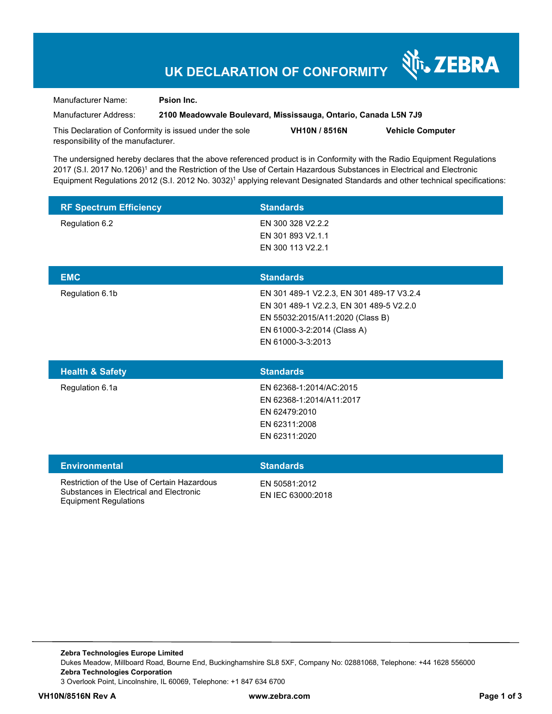# **UK DECLARATION OF CONFORMITY**

Manufacturer Name: **Psion Inc.** 

Manufacturer Address: **2100 Meadowvale Boulevard, Mississauga, Ontario, Canada L5N 7J9** 

Nr. ZEBRA

This Declaration of Conformity is issued under the sole responsibility of the manufacturer. **VH10N / 8516N Vehicle Computer** 

The undersigned hereby declares that the above referenced product is in Conformity with the Radio Equipment Regulations 2017 (S.I. 2017 No.1206)<sup>1</sup> and the Restriction of the Use of Certain Hazardous Substances in Electrical and Electronic Equipment Regulations 2012 (S.I. 2012 No. 3032)<sup>1</sup> applying relevant Designated Standards and other technical specifications:

| <b>RF Spectrum Efficiency</b> | <b>Standards</b>  |
|-------------------------------|-------------------|
| Regulation 6.2                | EN 300 328 V2.2.2 |
|                               | EN 301 893 V2.1.1 |
|                               | EN 300 113 V2.2.1 |
|                               |                   |
| <b>EMC</b>                    | <b>Standards</b>  |

| EMC.            | <b>Standards</b>                          |
|-----------------|-------------------------------------------|
| Regulation 6.1b | EN 301 489-1 V2.2.3, EN 301 489-17 V3.2.4 |
|                 | EN 301 489-1 V2.2.3, EN 301 489-5 V2.2.0  |
|                 | EN 55032:2015/A11:2020 (Class B)          |
|                 | EN 61000-3-2:2014 (Class A)               |
|                 | EN 61000-3-3:2013                         |
|                 |                                           |

| <b>Health &amp; Safety</b> | <b>Standards</b>         |
|----------------------------|--------------------------|
| Regulation 6.1a            | EN 62368-1:2014/AC:2015  |
|                            | EN 62368-1:2014/A11:2017 |
|                            | EN 62479:2010            |
|                            | EN 62311:2008            |
|                            | EN 62311:2020            |
|                            |                          |

| <b>Environmental</b>                                                                                            | <b>Standards</b>                   |
|-----------------------------------------------------------------------------------------------------------------|------------------------------------|
| Restriction of the Use of Certain Hazardous<br>Substances in Electrical and Electronic<br>Equipment Regulations | FN 50581:2012<br>EN IEC 63000:2018 |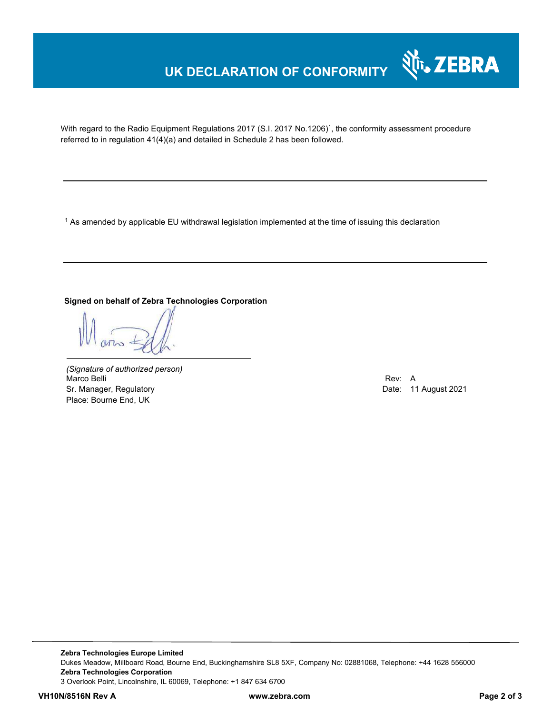# **UK DECLARATION OF CONFORMITY**



With regard to the Radio Equipment Regulations 2017 (S.I. 2017 No.1206)<sup>1</sup>, the conformity assessment procedure referred to in regulation 41(4)(a) and detailed in Schedule 2 has been followed.

 $^{\rm 1}$  As amended by applicable EU withdrawal legislation implemented at the time of issuing this declaration

### **Signed on behalf of Zebra Technologies Corporation**

*(Signature of authorized person)* Marco Belli Rev: A Annual Rev: A Annual Rev: A Annual Rev: A Annual Rev: A Annual Rev: A Annual Rev: A Annual Rev Sr. Manager, Regulatory **Date: 11 August 2021** Place: Bourne End, UK

**Zebra Technologies Europe Limited**  Dukes Meadow, Millboard Road, Bourne End, Buckinghamshire SL8 5XF, Company No: 02881068, Telephone: +44 1628 556000 **Zebra Technologies Corporation**  3 Overlook Point, Lincolnshire, IL 60069, Telephone: +1 847 634 6700